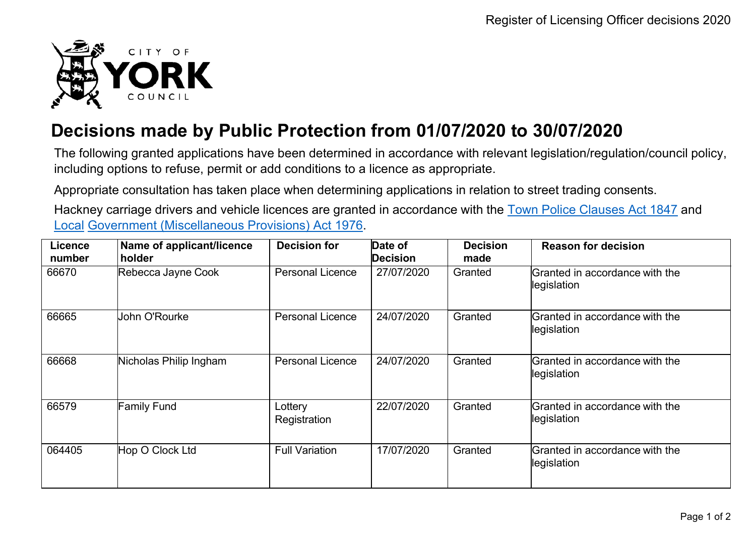

## **Decisions made by Public Protection from 01/07/2020 to 30/07/2020**

The following granted applications have been determined in accordance with relevant legislation/regulation/council policy, including options to refuse, permit or add conditions to a licence as appropriate.

Appropriate consultation has taken place when determining applications in relation to street trading consents.

Hackney carriage drivers and vehicle licences are granted in accordance with the Town Police [Clauses](http://www.legislation.gov.uk/ukpga/Vict/10-11/89) Act 1847 and [Local](http://www.legislation.gov.uk/ukpga/1976/57) [Government \(Miscellaneous Provisions\) Act 1976.](http://www.legislation.gov.uk/ukpga/1976/57)

| Licence<br>number | Name of applicant/licence<br>holder | <b>Decision for</b>     | Date of<br>Decision | <b>Decision</b><br>made | <b>Reason for decision</b>                    |
|-------------------|-------------------------------------|-------------------------|---------------------|-------------------------|-----------------------------------------------|
| 66670             | Rebecca Jayne Cook                  | <b>Personal Licence</b> | 27/07/2020          | Granted                 | Granted in accordance with the<br>legislation |
| 66665             | John O'Rourke                       | <b>Personal Licence</b> | 24/07/2020          | Granted                 | Granted in accordance with the<br>legislation |
| 66668             | Nicholas Philip Ingham              | <b>Personal Licence</b> | 24/07/2020          | Granted                 | Granted in accordance with the<br>legislation |
| 66579             | <b>Family Fund</b>                  | Lottery<br>Registration | 22/07/2020          | Granted                 | Granted in accordance with the<br>legislation |
| 064405            | Hop O Clock Ltd                     | <b>Full Variation</b>   | 17/07/2020          | Granted                 | Granted in accordance with the<br>legislation |